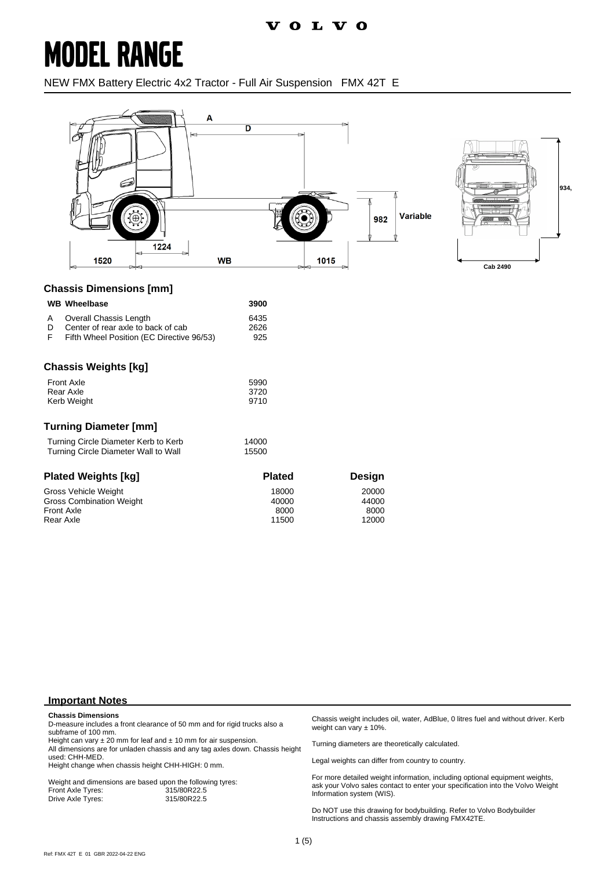# **MODEL RANGE**

NEW FMX Battery Electric 4x2 Tractor - Full Air Suspension FMX 42T E



#### **Chassis Dimensions [mm]**

|   | <b>WB</b> Wheelbase    | 3900 |
|---|------------------------|------|
| A | Overall Chassis Length | 6435 |

| D | Center of rear axle to back of cab        | 2626 |
|---|-------------------------------------------|------|
| F | Fifth Wheel Position (EC Directive 96/53) | 925  |

### **Chassis Weights [kg]**

| Front Axle  | 5990 |
|-------------|------|
| Rear Axle   | 3720 |
| Kerb Weight | 9710 |

#### **Turning Diameter [mm]**

| Turning Circle Diameter Kerb to Kerb | 14000 |
|--------------------------------------|-------|
| Turning Circle Diameter Wall to Wall | 15500 |

| <b>Plated Weights [kg]</b>      | <b>Plated</b> | Design |
|---------------------------------|---------------|--------|
| Gross Vehicle Weight            | 18000         | 20000  |
| <b>Gross Combination Weight</b> | 40000         | 44000  |
| <b>Front Axle</b>               | 8000          | 8000   |
| Rear Axle                       | 11500         | 12000  |

#### **Important Notes**

#### **Chassis Dimensions**

D-measure includes a front clearance of 50 mm and for rigid trucks also a subframe of 100 mm.

Height can vary  $\pm 20$  mm for leaf and  $\pm 10$  mm for air suspension. All dimensions are for unladen chassis and any tag axles down. Chassis height used: CHH-MED.

Height change when chassis height CHH-HIGH: 0 mm.

Weight and dimensions are based upon the following tyres:<br>Front Axle Tyres: 315/80R22.5 Front Axle Tyres: 315/80R22.5 Drive Axle Tyres:

Chassis weight includes oil, water, AdBlue, 0 litres fuel and without driver. Kerb weight can vary ± 10%.

Turning diameters are theoretically calculated.

Legal weights can differ from country to country.

For more detailed weight information, including optional equipment weights, ask your Volvo sales contact to enter your specification into the Volvo Weight Information system (WIS).

Do NOT use this drawing for bodybuilding. Refer to Volvo Bodybuilder Instructions and chassis assembly drawing FMX42TE.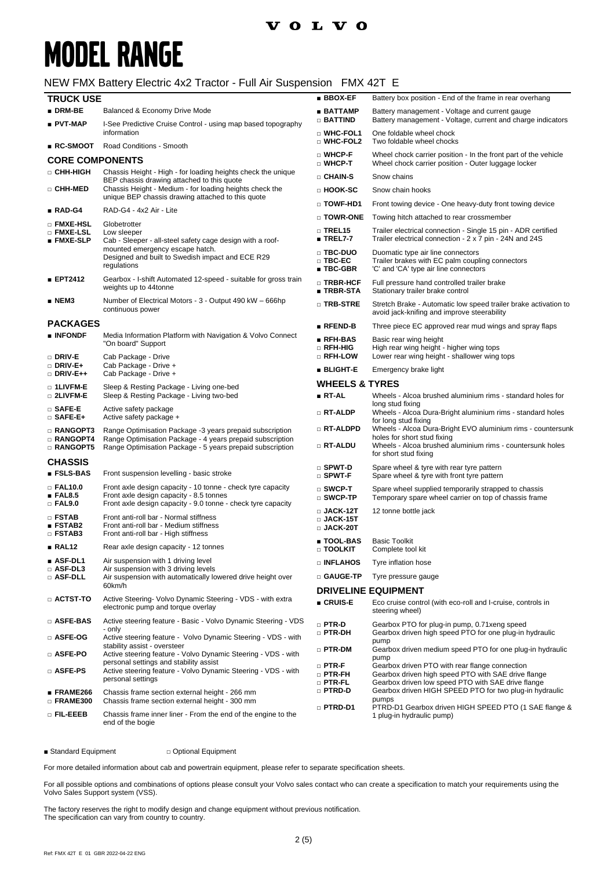### **volvo**

# **MODEL RANGE**

### NEW FMX Battery Electric 4x2 Tractor - Full Air Suspension FMX 42T E

| <b>TRUCK USE</b>                                            |                                                                                                                                                                                    | <b>BBOX-EF</b>                                          | Battery box position - End of the frame in rear overhang                                                                                                                         |
|-------------------------------------------------------------|------------------------------------------------------------------------------------------------------------------------------------------------------------------------------------|---------------------------------------------------------|----------------------------------------------------------------------------------------------------------------------------------------------------------------------------------|
| $\blacksquare$ DRM-BE                                       | Balanced & Economy Drive Mode                                                                                                                                                      | ∎ BATTAMP                                               | Battery management - Voltage and current gauge                                                                                                                                   |
| ∎ PVT-MAP                                                   | I-See Predictive Cruise Control - using map based topography<br>information                                                                                                        | $\Box$ battind<br>□ WHC-FOL1                            | Battery management - Voltage, current and charge indicators<br>One foldable wheel chock                                                                                          |
| ∎ RC-SMOOT                                                  | Road Conditions - Smooth                                                                                                                                                           | □ WHC-FOL2                                              | Two foldable wheel chocks                                                                                                                                                        |
| <b>CORE COMPONENTS</b>                                      |                                                                                                                                                                                    | $\square$ WHCP-F<br>$\square$ WHCP-T                    | Wheel chock carrier position - In the front part of the vehicle<br>Wheel chock carrier position - Outer luggage locker                                                           |
| □ CHH-HIGH                                                  | Chassis Height - High - for loading heights check the unique                                                                                                                       | □ CHAIN-S                                               | Snow chains                                                                                                                                                                      |
| □ CHH-MED                                                   | BEP chassis drawing attached to this quote<br>Chassis Height - Medium - for loading heights check the<br>unique BEP chassis drawing attached to this quote                         | □ HOOK-SC                                               | Snow chain hooks                                                                                                                                                                 |
| ∎ RAD-G4                                                    | RAD-G4 - 4x2 Air - Lite                                                                                                                                                            | D TOWF-HD1                                              | Front towing device - One heavy-duty front towing device                                                                                                                         |
|                                                             |                                                                                                                                                                                    | $\square$ TOWR-ONE                                      | Towing hitch attached to rear crossmember                                                                                                                                        |
| □ FMXE-HSL<br>□ FMXE-LSL<br><b>EMXE-SLP</b>                 | Globetrotter<br>Low sleeper<br>Cab - Sleeper - all-steel safety cage design with a roof-<br>mounted emergency escape hatch.                                                        | $\Box$ TREL15<br>$\blacksquare$ TREL7-7                 | Trailer electrical connection - Single 15 pin - ADR certified<br>Trailer electrical connection - 2 x 7 pin - 24N and 24S                                                         |
|                                                             | Designed and built to Swedish impact and ECE R29<br>regulations                                                                                                                    | □ TBC-DUO<br>$\square$ TBC-EC<br>$\blacksquare$ TBC-GBR | Duomatic type air line connectors<br>Trailer brakes with EC palm coupling connectors<br>'C' and 'CA' type air line connectors                                                    |
| <b>EPT2412</b>                                              | Gearbox - I-shift Automated 12-speed - suitable for gross train<br>weights up to 44tonne                                                                                           | □ TRBR-HCF<br>■ TRBR-STA                                | Full pressure hand controlled trailer brake<br>Stationary trailer brake control                                                                                                  |
| ∎ NEM3                                                      | Number of Electrical Motors - 3 - Output 490 kW - 666hp<br>continuous power                                                                                                        | □ TRB-STRE                                              | Stretch Brake - Automatic low speed trailer brake activation to<br>avoid jack-knifing and improve steerability                                                                   |
| <b>PACKAGES</b>                                             |                                                                                                                                                                                    | $R$ Fend-B                                              | Three piece EC approved rear mud wings and spray flaps                                                                                                                           |
| <b>BINFONDF</b><br>□ DRIV-E                                 | Media Information Platform with Navigation & Volvo Connect<br>"On board" Support<br>Cab Package - Drive                                                                            | ■ RFH-BAS<br>$\square$ RFH-HIG<br>□ RFH-LOW             | Basic rear wing height<br>High rear wing height - higher wing tops<br>Lower rear wing height - shallower wing tops                                                               |
| $\square$ Driv-E+                                           | Cab Package - Drive +                                                                                                                                                              | <b>BLIGHT-E</b>                                         | Emergency brake light                                                                                                                                                            |
| $\Box$ DRIV-E++                                             | Cab Package - Drive +                                                                                                                                                              | <b>WHEELS &amp; TYRES</b>                               |                                                                                                                                                                                  |
| $\Box$ 1LIVFM-E<br>□ 2LIVFM-E                               | Sleep & Resting Package - Living one-bed<br>Sleep & Resting Package - Living two-bed                                                                                               | ■ RT-AL                                                 | Wheels - Alcoa brushed aluminium rims - standard holes for                                                                                                                       |
| □ SAFE-E<br>$\Box$ SAFE-E+                                  | Active safety package<br>Active safety package +                                                                                                                                   | $\Box$ RT-ALDP                                          | long stud fixing<br>Wheels - Alcoa Dura-Bright aluminium rims - standard holes<br>for long stud fixing                                                                           |
| $\square$ RANGOPT3<br>$\Box$ RANGOPT4<br>□ RANGOPT5         | Range Optimisation Package -3 years prepaid subscription<br>Range Optimisation Package - 4 years prepaid subscription<br>Range Optimisation Package - 5 years prepaid subscription | □ RT-ALDPD<br>□ RT-ALDU                                 | Wheels - Alcoa Dura-Bright EVO aluminium rims - countersunk<br>holes for short stud fixing<br>Wheels - Alcoa brushed aluminium rims - countersunk holes<br>for short stud fixing |
| <b>CHASSIS</b>                                              |                                                                                                                                                                                    | $\square$ SPWT-D                                        | Spare wheel & tyre with rear tyre pattern                                                                                                                                        |
| $\blacksquare$ FSLS-BAS                                     | Front suspension levelling - basic stroke                                                                                                                                          | $\square$ SPWT-F                                        | Spare wheel & tyre with front tyre pattern                                                                                                                                       |
| □ FAL10.0<br>$\blacksquare$ FAL8.5<br>$\Box$ FAL9.0         | Front axle design capacity - 10 tonne - check tyre capacity<br>Front axle design capacity - 8.5 tonnes<br>Front axle design capacity - 9.0 tonne - check tyre capacity             | $\square$ SWCP-T<br>$\square$ SWCP-TP                   | Spare wheel supplied temporarily strapped to chassis<br>Temporary spare wheel carrier on top of chassis frame                                                                    |
| <b>D</b> FSTAB<br>$\blacksquare$ FSTAB2<br>$\square$ FSTAB3 | Front anti-roll bar - Normal stiffness<br>Front anti-roll bar - Medium stiffness<br>Front anti-roll bar - High stiffness                                                           | $\square$ JACK-12T<br>$\square$ JACK-15T<br>□ JACK-20T  | 12 tonne bottle jack                                                                                                                                                             |
| ∎ RAL12                                                     | Rear axle design capacity - 12 tonnes                                                                                                                                              | ■ TOOL-BAS<br>□ TOOLKIT                                 | <b>Basic Toolkit</b><br>Complete tool kit                                                                                                                                        |
| $\blacksquare$ ASF-DL1                                      | Air suspension with 1 driving level                                                                                                                                                | □ INFLAHOS                                              | Tyre inflation hose                                                                                                                                                              |
| $\square$ ASF-DL3<br>□ ASF-DLL                              | Air suspension with 3 driving levels<br>Air suspension with automatically lowered drive height over<br>60km/h                                                                      | □ GAUGE-TP                                              | Tyre pressure gauge                                                                                                                                                              |
| $\scriptstyle\Box$ actst-to                                 | Active Steering- Volvo Dynamic Steering - VDS - with extra                                                                                                                         |                                                         | <b>DRIVELINE EQUIPMENT</b>                                                                                                                                                       |
|                                                             | electronic pump and torque overlay                                                                                                                                                 | $C$ RUIS-E                                              | Eco cruise control (with eco-roll and I-cruise, controls in<br>steering wheel)                                                                                                   |
| □ ASFE-BAS<br>□ ASFE-OG                                     | Active steering feature - Basic - Volvo Dynamic Steering - VDS<br>- only<br>Active steering feature - Volvo Dynamic Steering - VDS - with                                          | $\square$ PTR-D<br>□ PTR-DH                             | Gearbox PTO for plug-in pump, 0.71 xeng speed<br>Gearbox driven high speed PTO for one plug-in hydraulic                                                                         |
| □ ASFE-PO                                                   | stability assist - oversteer<br>Active steering feature - Volvo Dynamic Steering - VDS - with                                                                                      | $\Box$ PTR-DM                                           | pump<br>Gearbox driven medium speed PTO for one plug-in hydraulic                                                                                                                |
| □ ASFE-PS                                                   | personal settings and stability assist<br>Active steering feature - Volvo Dynamic Steering - VDS - with<br>personal settings                                                       | $\square$ PTR-F<br>$\Box$ PTR-FH                        | pump<br>Gearbox driven PTO with rear flange connection<br>Gearbox driven high speed PTO with SAE drive flange<br>Gearbox driven low speed PTO with SAE drive flange              |
| ∎ FRAME266<br>□ FRAME300                                    | Chassis frame section external height - 266 mm<br>Chassis frame section external height - 300 mm                                                                                   | $\square$ PTR-FL<br>□ PTRD-D                            | Gearbox driven HIGH SPEED PTO for two plug-in hydraulic<br>pumps                                                                                                                 |
| o FIL-EEEB                                                  | Chassis frame inner liner - From the end of the engine to the<br>end of the bogie                                                                                                  | $\Box$ PTRD-D1                                          | PTRD-D1 Gearbox driven HIGH SPEED PTO (1 SAE flange &<br>1 plug-in hydraulic pump)                                                                                               |

■ Standard Equipment □ Optional Equipment

For more detailed information about cab and powertrain equipment, please refer to separate specification sheets.

For all possible options and combinations of options please consult your Volvo sales contact who can create a specification to match your requirements using the Volvo Sales Support system (VSS).

The factory reserves the right to modify design and change equipment without previous notification. The specification can vary from country to country.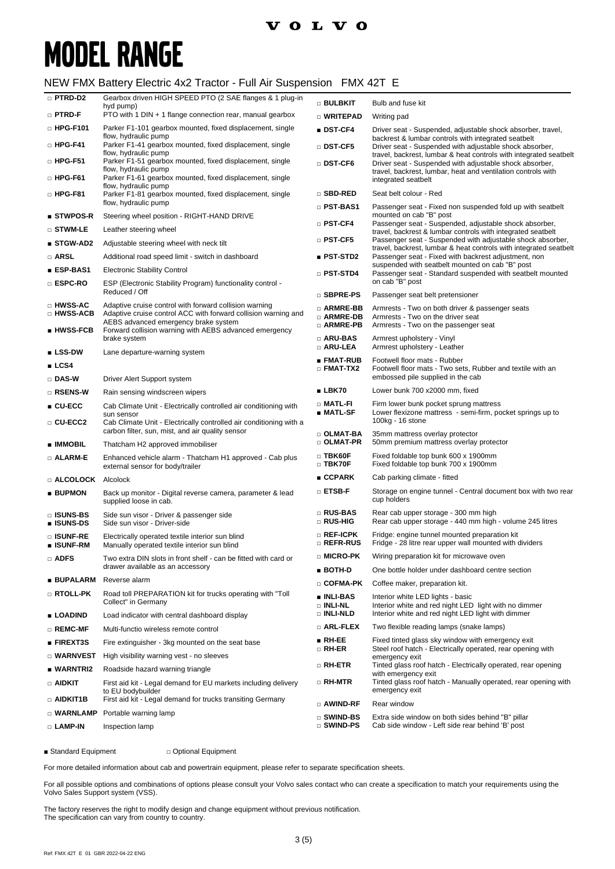# **MODEL RANGE**

#### NEW FMX Battery Electric 4x2 Tractor - Full Air Suspension FMX 42T E

| □ PTRD-D2                     | Gearbox driven HIGH SPEED PTO (2 SAE flanges & 1 plug-in<br>hyd pump)                                                                | $\square$ Bulbkit                        | Bulb and fuse kit                                                                                                               |
|-------------------------------|--------------------------------------------------------------------------------------------------------------------------------------|------------------------------------------|---------------------------------------------------------------------------------------------------------------------------------|
| $\square$ PTRD-F              | PTO with 1 DIN + 1 flange connection rear, manual gearbox                                                                            | □ WRITEPAD                               | Writing pad                                                                                                                     |
| $\Box$ HPG-F101               | Parker F1-101 gearbox mounted, fixed displacement, single<br>flow, hydraulic pump                                                    | ∎ DST-CF4                                | Driver seat - Suspended, adjustable shock absorber, travel,                                                                     |
| $\Box$ HPG-F41                | Parker F1-41 gearbox mounted, fixed displacement, single                                                                             | $\square$ DST-CF5                        | backrest & lumbar controls with integrated seatbelt<br>Driver seat - Suspended with adjustable shock absorber,                  |
| $\square$ HPG-F51             | flow, hydraulic pump<br>Parker F1-51 gearbox mounted, fixed displacement, single                                                     | $\square$ DST-CF6                        | travel, backrest, lumbar & heat controls with integrated seatbelt<br>Driver seat - Suspended with adjustable shock absorber,    |
| $\Box$ HPG-F61                | flow, hydraulic pump<br>Parker F1-61 gearbox mounted, fixed displacement, single                                                     |                                          | travel, backrest, lumbar, heat and ventilation controls with<br>integrated seatbelt                                             |
| $\square$ HPG-F81             | flow, hydraulic pump<br>Parker F1-81 gearbox mounted, fixed displacement, single                                                     | □ SBD-RED                                | Seat belt colour - Red                                                                                                          |
|                               | flow, hydraulic pump                                                                                                                 | $\square$ PST-BAS1                       | Passenger seat - Fixed non suspended fold up with seatbelt                                                                      |
| ■ STWPOS-R                    | Steering wheel position - RIGHT-HAND DRIVE                                                                                           | $\square$ PST-CF4                        | mounted on cab "B" post<br>Passenger seat - Suspended, adjustable shock absorber,                                               |
| $\square$ stwm-le             | Leather steering wheel                                                                                                               |                                          | travel, backrest & lumbar controls with integrated seatbelt                                                                     |
| ■ STGW-AD2                    | Adjustable steering wheel with neck tilt                                                                                             | □ PST-CF5                                | Passenger seat - Suspended with adjustable shock absorber,<br>travel, backrest, lumbar & heat controls with integrated seatbelt |
| □ ARSL                        | Additional road speed limit - switch in dashboard                                                                                    | $\blacksquare$ PST-STD2                  | Passenger seat - Fixed with backrest adjustment, non<br>suspended with seatbelt mounted on cab "B" post                         |
| ∎ ESP-BAS1                    | <b>Electronic Stability Control</b>                                                                                                  | $\square$ PST-STD4                       | Passenger seat - Standard suspended with seatbelt mounted                                                                       |
| □ ESPC-RO                     | ESP (Electronic Stability Program) functionality control -<br>Reduced / Off                                                          | □ SBPRE-PS                               | on cab "B" post<br>Passenger seat belt pretensioner                                                                             |
| □ HWSS-AC                     | Adaptive cruise control with forward collision warning                                                                               | □ ARMRE-BB                               | Armrests - Two on both driver & passenger seats                                                                                 |
| □ HWSS-ACB                    | Adaptive cruise control ACC with forward collision warning and<br>AEBS advanced emergency brake system                               | <b>D</b> ARMRE-DB                        | Armrests - Two on the driver seat                                                                                               |
| $\blacksquare$ HWSS-FCB       | Forward collision warning with AEBS advanced emergency                                                                               | $\scriptstyle\Box$ armre-pb<br>□ ARU-BAS | Armrests - Two on the passenger seat<br>Armrest upholstery - Vinyl                                                              |
| <b>LSS-DW</b>                 | brake system<br>Lane departure-warning system                                                                                        | □ ARU-LEA                                | Armrest upholstery - Leather                                                                                                    |
| LCS4                          |                                                                                                                                      | ∎ FMAT-RUB                               | Footwell floor mats - Rubber                                                                                                    |
| □ DAS-W                       | Driver Alert Support system                                                                                                          | $\square$ FMAT-TX2                       | Footwell floor mats - Two sets, Rubber and textile with an<br>embossed pile supplied in the cab                                 |
| □ RSENS-W                     | Rain sensing windscreen wipers                                                                                                       | $\blacksquare$ LBK70                     | Lower bunk 700 x2000 mm, fixed                                                                                                  |
| $\blacksquare$ CU-ECC         | Cab Climate Unit - Electrically controlled air conditioning with                                                                     | $\Box$ Matl-Fi                           | Firm lower bunk pocket sprung mattress                                                                                          |
| □ CU-ECC2                     | sun sensor<br>Cab Climate Unit - Electrically controlled air conditioning with a<br>carbon filter, sun, mist, and air quality sensor | ∎ MATL-SF                                | Lower flexizone mattress - semi-firm, pocket springs up to<br>100kg - 16 stone                                                  |
| ■ IMMOBIL                     | Thatcham H2 approved immobiliser                                                                                                     | $\Box$ OLMAT-BA<br>$\square$ OLMAT-PR    | 35mm mattress overlay protector<br>50mm premium mattress overlay protector                                                      |
| □ ALARM-E                     | Enhanced vehicle alarm - Thatcham H1 approved - Cab plus<br>external sensor for body/trailer                                         | $\square$ TBK60F<br>$\Box$ TBK70F        | Fixed foldable top bunk 600 x 1900mm<br>Fixed foldable top bunk 700 x 1900mm                                                    |
| □ ALCOLOCK                    | Alcolock                                                                                                                             | $\blacksquare$ CCPARK                    | Cab parking climate - fitted                                                                                                    |
| <b>BUPMON</b>                 | Back up monitor - Digital reverse camera, parameter & lead<br>supplied loose in cab.                                                 | $\square$ etsb-f                         | Storage on engine tunnel - Central document box with two rear<br>cup holders                                                    |
| □ ISUNS-BS<br>■ ISUNS-DS      | Side sun visor - Driver & passenger side<br>Side sun visor - Driver-side                                                             | □ RUS-BAS<br>□ RUS-HIG                   | Rear cab upper storage - 300 mm high<br>Rear cab upper storage - 440 mm high - volume 245 litres                                |
| □ ISUNF-RE<br>∎ ISUNF-RM      | Electrically operated textile interior sun blind<br>Manually operated textile interior sun blind                                     | $\square$ Ref-ICPK<br>□ REFR-RUS         | Fridge: engine tunnel mounted preparation kit<br>Fridge - 28 litre rear upper wall mounted with dividers                        |
| □ ADFS                        | Two extra DIN slots in front shelf - can be fitted with card or                                                                      | □ MICRO-PK                               | Wiring preparation kit for microwave oven                                                                                       |
|                               | drawer available as an accessory                                                                                                     | ∎ BOTH-D                                 | One bottle holder under dashboard centre section                                                                                |
| ∎ BUPALARM                    | Reverse alarm                                                                                                                        | □ COFMA-PK                               | Coffee maker, preparation kit.                                                                                                  |
| □ RTOLL-PK                    | Road toll PREPARATION kit for trucks operating with "Toll"<br>Collect" in Germany                                                    | ∎ INLI-BAS<br>$\Box$ INLI-NL             | Interior white LED lights - basic<br>Interior white and red night LED light with no dimmer                                      |
| <b>LOADIND</b>                | Load indicator with central dashboard display                                                                                        | □ INLI-NLD<br>$\square$ Arl-flex         | Interior white and red night LED light with dimmer<br>Two flexible reading lamps (snake lamps)                                  |
| $\square$ REMC-MF             | Multi-functio wireless remote control                                                                                                | $B$ RH-EE                                | Fixed tinted glass sky window with emergency exit                                                                               |
| ■ FIREXT3S                    | Fire extinguisher - 3kg mounted on the seat base                                                                                     | $\square$ RH-ER                          | Steel roof hatch - Electrically operated, rear opening with                                                                     |
| $\Box$ Warnvest<br>■ WARNTRI2 | High visibility warning vest - no sleeves                                                                                            | □ RH-ETR                                 | emergency exit<br>Tinted glass roof hatch - Electrically operated, rear opening                                                 |
| □ AIDKIT                      | Roadside hazard warning triangle<br>First aid kit - Legal demand for EU markets including delivery                                   | □ RH-MTR                                 | with emergency exit<br>Tinted glass roof hatch - Manually operated, rear opening with                                           |
|                               | to EU bodybuilder                                                                                                                    |                                          | emergency exit                                                                                                                  |
| $\Box$ aidkit1b               | First aid kit - Legal demand for trucks transiting Germany                                                                           | □ AWIND-RF                               | Rear window                                                                                                                     |
| $\square$ WARNLAMP            | Portable warning lamp                                                                                                                | $\square$ SWIND-BS<br>$\square$ Swind-PS | Extra side window on both sides behind "B" pillar<br>Cab side window - Left side rear behind 'B' post                           |
| □ LAMP-IN                     | Inspection lamp                                                                                                                      |                                          |                                                                                                                                 |

■ Standard Equipment □ Optional Equipment

For more detailed information about cab and powertrain equipment, please refer to separate specification sheets.

For all possible options and combinations of options please consult your Volvo sales contact who can create a specification to match your requirements using the Volvo Sales Support system (VSS).

The factory reserves the right to modify design and change equipment without previous notification. The specification can vary from country to country.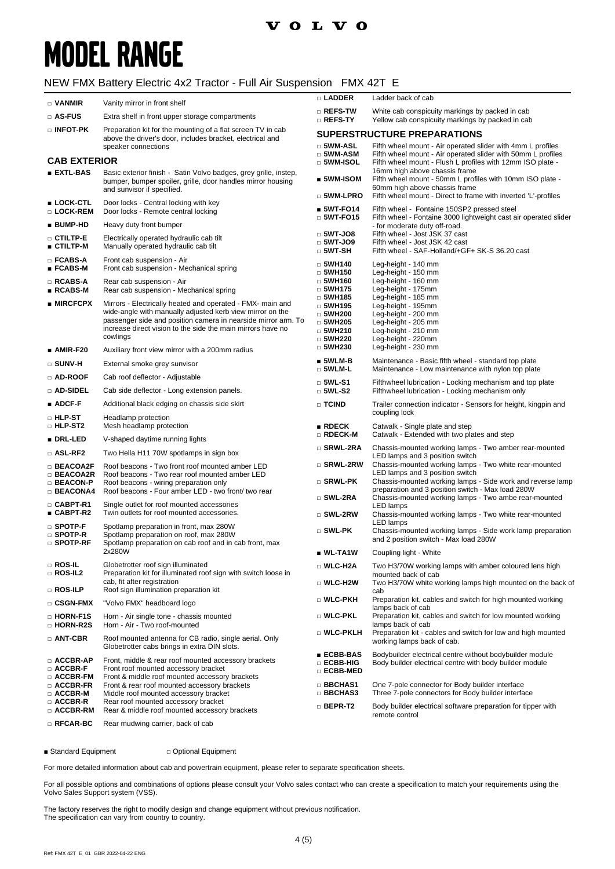## **VOLVO**

# **MODEL RANGE**

### NEW FMX Battery Electric 4x2 Tractor - Full Air Suspension FMX 42T E

| $\Box$ VANMIR                                                                    | Vanity mirror in front shelf                                                                                                                                                                                                                                        | □ LADDER                                                                                              | Ladder back of cab                                                                                                                                               |
|----------------------------------------------------------------------------------|---------------------------------------------------------------------------------------------------------------------------------------------------------------------------------------------------------------------------------------------------------------------|-------------------------------------------------------------------------------------------------------|------------------------------------------------------------------------------------------------------------------------------------------------------------------|
| □ AS-FUS                                                                         | Extra shelf in front upper storage compartments                                                                                                                                                                                                                     | $\square$ Refs-tw<br>□ REFS-TY                                                                        | White cab conspicuity markings by packed in cab<br>Yellow cab conspicuity markings by packed in cab                                                              |
| □ INFOT-PK                                                                       | Preparation kit for the mounting of a flat screen TV in cab                                                                                                                                                                                                         |                                                                                                       | <b>SUPERSTRUCTURE PREPARATIONS</b>                                                                                                                               |
| above the driver's door, includes bracket, electrical and<br>speaker connections |                                                                                                                                                                                                                                                                     | $\square$ 5WM-ASL                                                                                     | Fifth wheel mount - Air operated slider with 4mm L profiles                                                                                                      |
| <b>CAB EXTERIOR</b>                                                              |                                                                                                                                                                                                                                                                     | $\square$ 5WM-ASM<br>$\Box$ 5WM-ISOL                                                                  | Fifth wheel mount - Air operated slider with 50mm L profiles<br>Fifth wheel mount - Flush L profiles with 12mm ISO plate -                                       |
| <b>EXTL-BAS</b>                                                                  | Basic exterior finish - Satin Volvo badges, grey grille, instep,<br>bumper, bumper spoiler, grille, door handles mirror housing<br>and sunvisor if specified.                                                                                                       | $\blacksquare$ 5WM-ISOM                                                                               | 16mm high above chassis frame<br>Fifth wheel mount - 50mm L profiles with 10mm ISO plate -<br>60mm high above chassis frame                                      |
| ∎ LOCK-CTL<br>□ LOCK-REM                                                         | Door locks - Central locking with key<br>Door locks - Remote central locking                                                                                                                                                                                        | $\square$ 5WM-LPRO<br>$$WT-FO14$$                                                                     | Fifth wheel mount - Direct to frame with inverted 'L'-profiles<br>Fifth wheel - Fontaine 150SP2 pressed steel                                                    |
| ∎ BUMP-HD                                                                        | Heavy duty front bumper                                                                                                                                                                                                                                             | $\Box$ 5WT-FO15                                                                                       | Fifth wheel - Fontaine 3000 lightweight cast air operated slider<br>- for moderate duty off-road.                                                                |
| $\square$ ctiltp-e<br>∎ CTILTP-M                                                 | Electrically operated hydraulic cab tilt<br>Manually operated hydraulic cab tilt                                                                                                                                                                                    | $\Box$ 5WT-JO8<br>$\Box$ 5WT-JO9<br>$\square$ 5WT-SH                                                  | Fifth wheel - Jost JSK 37 cast<br>Fifth wheel - Jost JSK 42 cast<br>Fifth wheel - SAF-Holland/+GF+ SK-S 36.20 cast                                               |
| $\square$ FCABS-A<br>∎ FCABS-M                                                   | Front cab suspension - Air<br>Front cab suspension - Mechanical spring                                                                                                                                                                                              | $\Box$ 5WH140<br>$\Box$ 5WH150                                                                        | Leg-height - 140 mm<br>Leg-height - 150 mm                                                                                                                       |
| □ RCABS-A<br>∎ RCABS-M                                                           | Rear cab suspension - Air<br>Rear cab suspension - Mechanical spring                                                                                                                                                                                                | $\Box$ 5WH160<br>$\Box$ 5WH175                                                                        | Leg-height - 160 mm<br>Leg-height - 175mm                                                                                                                        |
| $\blacksquare$ MIRCFCPX                                                          | Mirrors - Electrically heated and operated - FMX- main and<br>wide-angle with manually adjusted kerb view mirror on the<br>passenger side and position camera in nearside mirror arm. To<br>increase direct vision to the side the main mirrors have no<br>cowlings | $\Box$ 5WH185<br>$\Box$ 5WH195<br>$\square$ 5WH200<br>$\Box$ 5WH205<br>$\Box$ 5WH210<br>$\Box$ 5WH220 | Leg-height - 185 mm<br>Leg-height - 195mm<br>Leg-height - 200 mm<br>Leg-height - 205 mm<br>Leg-height - 210 mm<br>Leg-height - 220mm                             |
| $\blacksquare$ AMIR-F20                                                          | Auxiliary front view mirror with a 200mm radius                                                                                                                                                                                                                     | $\Box$ 5WH230                                                                                         | Leg-height - 230 mm                                                                                                                                              |
| $\square$ SUNV-H                                                                 | External smoke grey sunvisor                                                                                                                                                                                                                                        | $\blacksquare$ 5WLM-B<br>$\square$ 5WLM-L                                                             | Maintenance - Basic fifth wheel - standard top plate<br>Maintenance - Low maintenance with nylon top plate                                                       |
| □ AD-ROOF                                                                        | Cab roof deflector - Adjustable                                                                                                                                                                                                                                     | $\Box$ 5WL-S1                                                                                         | Fifthwheel lubrication - Locking mechanism and top plate                                                                                                         |
| □ AD-SIDEL                                                                       | Cab side deflector - Long extension panels.                                                                                                                                                                                                                         | $\square$ 5WL-S2                                                                                      | Fifthwheel lubrication - Locking mechanism only                                                                                                                  |
| $\blacksquare$ ADCF-F                                                            | Additional black edging on chassis side skirt                                                                                                                                                                                                                       | □ TCIND                                                                                               | Trailer connection indicator - Sensors for height, kingpin and<br>coupling lock                                                                                  |
| $\Box$ HLP-ST<br>□ HLP-ST2                                                       | Headlamp protection<br>Mesh headlamp protection                                                                                                                                                                                                                     | $\blacksquare$ RDECK<br>□ RDECK-M                                                                     | Catwalk - Single plate and step<br>Catwalk - Extended with two plates and step                                                                                   |
| ∎ DRL-LED                                                                        | V-shaped daytime running lights                                                                                                                                                                                                                                     | □ SRWL-2RA                                                                                            | Chassis-mounted working lamps - Two amber rear-mounted                                                                                                           |
| $\Box$ ASL-RF2<br>□ BEACOA2F                                                     | Two Hella H11 70W spotlamps in sign box<br>Roof beacons - Two front roof mounted amber LED                                                                                                                                                                          | □ SRWL-2RW                                                                                            | LED lamps and 3 position switch<br>Chassis-mounted working lamps - Two white rear-mounted                                                                        |
| □ BEACOA2R<br>□ BEACON-P                                                         | Roof beacons - Two rear roof mounted amber LED<br>Roof beacons - wiring preparation only                                                                                                                                                                            | $\square$ SRWL-PK                                                                                     | LED lamps and 3 position switch<br>Chassis-mounted working lamps - Side work and reverse lamp<br>preparation and 3 position switch - Max load 280W               |
| <b>BEACONA4</b><br>$\square$ CABPT-R1<br>■ CABPT-R2                              | Roof beacons - Four amber LED - two front/ two rear<br>Single outlet for roof mounted accessories<br>Twin outlets for roof mounted accessories.                                                                                                                     | $\square$ SWL-2RA                                                                                     | Chassis-mounted working lamps - Two ambe rear-mounted<br>LED lamps                                                                                               |
| $\square$ SPOTP-F                                                                | Spotlamp preparation in front, max 280W                                                                                                                                                                                                                             | $\square$ SWL-2RW<br>$\square$ SWL-PK                                                                 | Chassis-mounted working lamps - Two white rear-mounted<br><b>LED</b> lamps<br>Chassis-mounted working lamps - Side work lamp preparation                         |
| □ SPOTP-R<br>$\square$ spotp-rf                                                  | Spotlamp preparation on roof, max 280W<br>Spotlamp preparation on cab roof and in cab front, max                                                                                                                                                                    |                                                                                                       | and 2 position switch - Max load 280W                                                                                                                            |
|                                                                                  | 2x280W                                                                                                                                                                                                                                                              | $\blacksquare$ WL-TA1W                                                                                | Coupling light - White                                                                                                                                           |
| $\square$ ROS-IL<br>$\Box$ ROS-IL2                                               | Globetrotter roof sign illuminated<br>Preparation kit for illuminated roof sign with switch loose in<br>cab, fit after registration                                                                                                                                 | □ WLC-H2A<br>□ WLC-H2W                                                                                | Two H3/70W working lamps with amber coloured lens high<br>mounted back of cab<br>Two H3/70W white working lamps high mounted on the back of                      |
| □ ROS-ILP                                                                        | Roof sign illumination preparation kit                                                                                                                                                                                                                              | □ WLC-PKH                                                                                             | cab                                                                                                                                                              |
| $\Box$ CSGN-FMX                                                                  | "Volvo FMX" headboard logo                                                                                                                                                                                                                                          |                                                                                                       | Preparation kit, cables and switch for high mounted working<br>lamps back of cab                                                                                 |
| □ HORN-F1S<br>□ HORN-R2S                                                         | Horn - Air single tone - chassis mounted<br>Horn - Air - Two roof-mounted                                                                                                                                                                                           | □ WLC-PKL<br>□ WLC-PKLH                                                                               | Preparation kit, cables and switch for low mounted working<br>lamps back of cab<br>Preparation kit - cables and switch for low and high mounted                  |
| □ ANT-CBR                                                                        | Roof mounted antenna for CB radio, single aerial. Only<br>Globetrotter cabs brings in extra DIN slots.                                                                                                                                                              | ∎ ECBB-BAS                                                                                            | working lamps back of cab.<br>Bodybuilder electrical centre without bodybuilder module                                                                           |
| □ ACCBR-AP<br>$\Box$ ACCBR-F<br>□ ACCBR-FM<br>$\square$ ACCBR-FR<br>□ ACCBR-M    | Front, middle & rear roof mounted accessory brackets<br>Front roof mounted accessory bracket<br>Front & middle roof mounted accessory brackets<br>Front & rear roof mounted accessory brackets<br>Middle roof mounted accessory bracket                             | □ ECBB-HIG<br>□ ECBB-MED<br>□ BBCHAS1<br>□ BBCHAS3                                                    | Body builder electrical centre with body builder module<br>One 7-pole connector for Body builder interface<br>Three 7-pole connectors for Body builder interface |
| □ ACCBR-R<br>□ ACCBR-RM                                                          | Rear roof mounted accessory bracket<br>Rear & middle roof mounted accessory brackets                                                                                                                                                                                | $\square$ BEPR-T2                                                                                     | Body builder electrical software preparation for tipper with<br>remote control                                                                                   |
| $\Box$ RFCAR-BC                                                                  | Rear mudwing carrier, back of cab                                                                                                                                                                                                                                   |                                                                                                       |                                                                                                                                                                  |

■ Standard Equipment □ Optional Equipment

For more detailed information about cab and powertrain equipment, please refer to separate specification sheets.

For all possible options and combinations of options please consult your Volvo sales contact who can create a specification to match your requirements using the Volvo Sales Support system (VSS).

The factory reserves the right to modify design and change equipment without previous notification. The specification can vary from country to country.